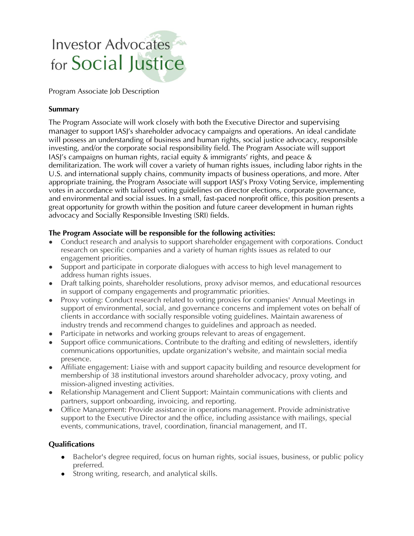# **Investor Advocates** for Social Justice

Program Associate Job Description

### Summary

The Program Associate will work closely with both the Executive Director and supervising manager to support IASJ's shareholder advocacy campaigns and operations. An ideal candidate will possess an understanding of business and human rights, social justice advocacy, responsible investing, and/or the corporate social responsibility field. The Program Associate will support IASJ's campaigns on human rights, racial equity & immigrants' rights, and peace & demilitarization. The work will cover a variety of human rights issues, including labor rights in the U.S. and international supply chains, community impacts of business operations, and more. After appropriate training, the Program Associate will support IASJ's Proxy Voting Service, implementing votes in accordance with tailored voting guidelines on director elections, corporate governance, and environmental and social issues. In a small, fast-paced nonprofit office, this position presents a great opportunity for growth within the position and future career development in human rights advocacy and Socially Responsible Investing (SRI) fields.

#### The Program Associate will be responsible for the following activities:

- Conduct research and analysis to support shareholder engagement with corporations. Conduct research on specific companies and a variety of human rights issues as related to our engagement priorities.
- Support and participate in corporate dialogues with access to high level management to address human rights issues.
- Draft talking points, shareholder resolutions, proxy advisor memos, and educational resources in support of company engagements and programmatic priorities.
- Proxy voting: Conduct research related to voting proxies for companies' Annual Meetings in support of environmental, social, and governance concerns and implement votes on behalf of clients in accordance with socially responsible voting guidelines. Maintain awareness of industry trends and recommend changes to guidelines and approach as needed.
- Participate in networks and working groups relevant to areas of engagement.
- Support office communications. Contribute to the drafting and editing of newsletters, identify communications opportunities, update organization's website, and maintain social media presence.
- Affiliate engagement: Liaise with and support capacity building and resource development for membership of 38 institutional investors around shareholder advocacy, proxy voting, and mission-aligned investing activities.
- Relationship Management and Client Support: Maintain communications with clients and partners, support onboarding, invoicing, and reporting.
- Office Management: Provide assistance in operations management. Provide administrative support to the Executive Director and the office, including assistance with mailings, special events, communications, travel, coordination, financial management, and IT.

## **Qualifications**

- Bachelor's degree required, focus on human rights, social issues, business, or public policy preferred.
- Strong writing, research, and analytical skills.